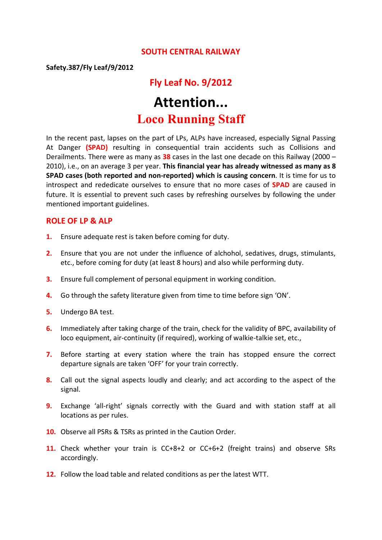#### **SOUTH CENTRAL RAILWAY**

**Safety.387/Fly Leaf/9/2012**

# **Fly Leaf No. 9/2012 Attention...**

# **Loco Running Staff**

In the recent past, lapses on the part of LPs, ALPs have increased, especially Signal Passing At Danger **(SPAD)** resulting in consequential train accidents such as Collisions and Derailments. There were as many as **38** cases in the last one decade on this Railway (2000 – 2010), i.e., on an average 3 per year. **This financial year has already witnessed as many as 8 SPAD cases (both reported and non-reported) which is causing concern**. It is time for us to introspect and rededicate ourselves to ensure that no more cases of **SPAD** are caused in future. It is essential to prevent such cases by refreshing ourselves by following the under mentioned important guidelines.

#### **ROLE OF LP & ALP**

- **1.** Ensure adequate rest is taken before coming for duty.
- **2.** Ensure that you are not under the influence of alchohol, sedatives, drugs, stimulants, etc., before coming for duty (at least 8 hours) and also while performing duty.
- **3.** Ensure full complement of personal equipment in working condition.
- **4.** Go through the safety literature given from time to time before sign 'ON'.
- **5.** Undergo BA test.
- **6.** Immediately after taking charge of the train, check for the validity of BPC, availability of loco equipment, air-continuity (if required), working of walkie-talkie set, etc.,
- **7.** Before starting at every station where the train has stopped ensure the correct departure signals are taken 'OFF' for your train correctly.
- **8.** Call out the signal aspects loudly and clearly; and act according to the aspect of the signal.
- **9.** Exchange 'all-right' signals correctly with the Guard and with station staff at all locations as per rules.
- **10.** Observe all PSRs & TSRs as printed in the Caution Order.
- **11.** Check whether your train is CC+8+2 or CC+6+2 (freight trains) and observe SRs accordingly.
- **12.** Follow the load table and related conditions as per the latest WTT.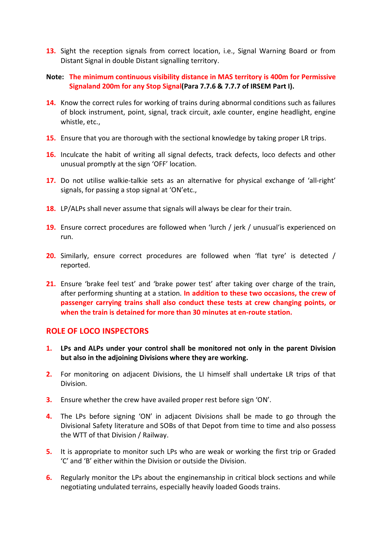- **13.** Sight the reception signals from correct location, i.e., Signal Warning Board or from Distant Signal in double Distant signalling territory.
- **Note: The minimum continuous visibility distance in MAS territory is 400m for Permissive Signaland 200m for any Stop Signal(Para 7.7.6 & 7.7.7 of IRSEM Part I).**
- **14.** Know the correct rules for working of trains during abnormal conditions such as failures of block instrument, point, signal, track circuit, axle counter, engine headlight, engine whistle, etc.,
- **15.** Ensure that you are thorough with the sectional knowledge by taking proper LR trips.
- **16.** Inculcate the habit of writing all signal defects, track defects, loco defects and other unusual promptly at the sign 'OFF' location.
- 17. Do not utilise walkie-talkie sets as an alternative for physical exchange of 'all-right' signals, for passing a stop signal at 'ON'etc.,
- **18.** LP/ALPs shall never assume that signals will always be clear for their train.
- **19.** Ensure correct procedures are followed when 'lurch / jerk / unusual'is experienced on run.
- **20.** Similarly, ensure correct procedures are followed when 'flat tyre' is detected / reported.
- **21.** Ensure 'brake feel test' and 'brake power test' after taking over charge of the train, after performing shunting at a station. **In addition to these two occasions, the crew of passenger carrying trains shall also conduct these tests at crew changing points, or when the train is detained for more than 30 minutes at en-route station.**

### **ROLE OF LOCO INSPECTORS**

- **1. LPs and ALPs under your control shall be monitored not only in the parent Division but also in the adjoining Divisions where they are working.**
- **2.** For monitoring on adjacent Divisions, the LI himself shall undertake LR trips of that Division.
- **3.** Ensure whether the crew have availed proper rest before sign 'ON'.
- **4.** The LPs before signing 'ON' in adjacent Divisions shall be made to go through the Divisional Safety literature and SOBs of that Depot from time to time and also possess the WTT of that Division / Railway.
- **5.** It is appropriate to monitor such LPs who are weak or working the first trip or Graded 'C' and 'B' either within the Division or outside the Division.
- **6.** Regularly monitor the LPs about the enginemanship in critical block sections and while negotiating undulated terrains, especially heavily loaded Goods trains.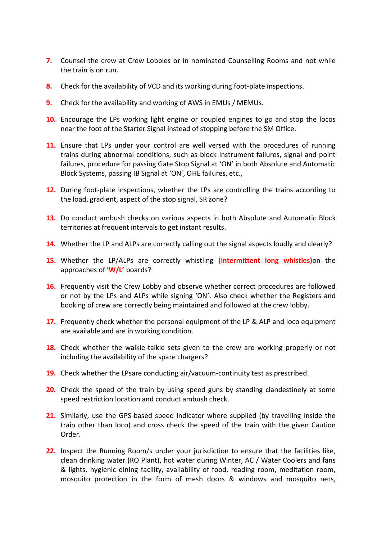- **7.** Counsel the crew at Crew Lobbies or in nominated Counselling Rooms and not while the train is on run.
- **8.** Check for the availability of VCD and its working during foot-plate inspections.
- **9.** Check for the availability and working of AWS in EMUs / MEMUs.
- **10.** Encourage the LPs working light engine or coupled engines to go and stop the locos near the foot of the Starter Signal instead of stopping before the SM Office.
- **11.** Ensure that LPs under your control are well versed with the procedures of running trains during abnormal conditions, such as block instrument failures, signal and point failures, procedure for passing Gate Stop Signal at 'ON' in both Absolute and Automatic Block Systems, passing IB Signal at 'ON', OHE failures, etc.,
- **12.** During foot-plate inspections, whether the LPs are controlling the trains according to the load, gradient, aspect of the stop signal, SR zone?
- **13.** Do conduct ambush checks on various aspects in both Absolute and Automatic Block territories at frequent intervals to get instant results.
- 14. Whether the LP and ALPs are correctly calling out the signal aspects loudly and clearly?
- **15.** Whether the LP/ALPs are correctly whistling **(intermittent long whistles)**on the approaches of **'W/L'** boards?
- **16.** Frequently visit the Crew Lobby and observe whether correct procedures are followed or not by the LPs and ALPs while signing 'ON'. Also check whether the Registers and booking of crew are correctly being maintained and followed at the crew lobby.
- **17.** Frequently check whether the personal equipment of the LP & ALP and loco equipment are available and are in working condition.
- **18.** Check whether the walkie-talkie sets given to the crew are working properly or not including the availability of the spare chargers?
- **19.** Check whether the LPsare conducting air/vacuum-continuity test as prescribed.
- **20.** Check the speed of the train by using speed guns by standing clandestinely at some speed restriction location and conduct ambush check.
- **21.** Similarly, use the GPS-based speed indicator where supplied (by travelling inside the train other than loco) and cross check the speed of the train with the given Caution Order.
- **22.** Inspect the Running Room/s under your jurisdiction to ensure that the facilities like, clean drinking water (RO Plant), hot water during Winter, AC / Water Coolers and fans & lights, hygienic dining facility, availability of food, reading room, meditation room, mosquito protection in the form of mesh doors & windows and mosquito nets,